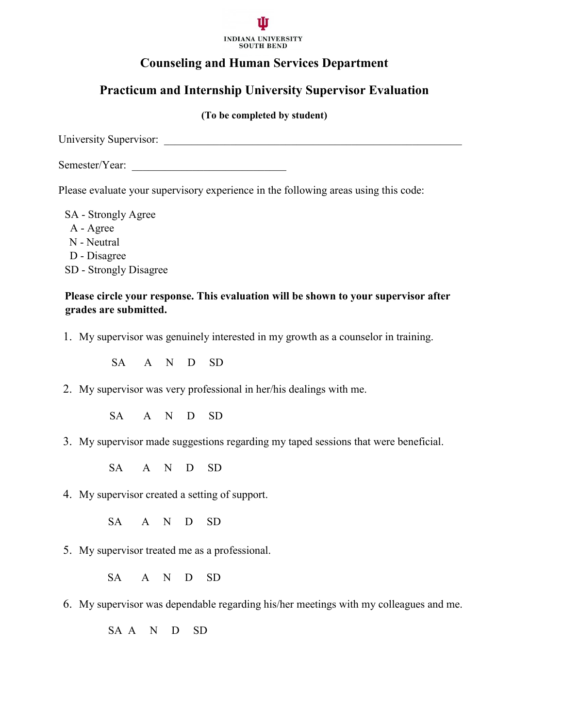

## **Counseling and Human Services Department**

# **Practicum and Internship University Supervisor Evaluation**

#### **(To be completed by student)**

University Supervisor: \_\_\_\_\_\_\_\_\_\_\_\_\_\_\_\_\_\_\_\_\_\_\_\_\_\_\_\_\_\_\_\_\_\_\_\_\_\_\_\_\_\_\_\_\_\_\_\_\_\_\_\_\_\_

Semester/Year:

Please evaluate your supervisory experience in the following areas using this code:

SA - Strongly Agree A - Agree N - Neutral D - Disagree SD - Strongly Disagree

### **Please circle your response. This evaluation will be shown to your supervisor after grades are submitted.**

1. My supervisor was genuinely interested in my growth as a counselor in training.

SA A N D SD

2. My supervisor was very professional in her/his dealings with me.

SA A N D SD

3. My supervisor made suggestions regarding my taped sessions that were beneficial.

SA A N D SD

4. My supervisor created a setting of support.

SA A N D SD

5. My supervisor treated me as a professional.

SA A N D SD

6. My supervisor was dependable regarding his/her meetings with my colleagues and me.

SA A N D SD